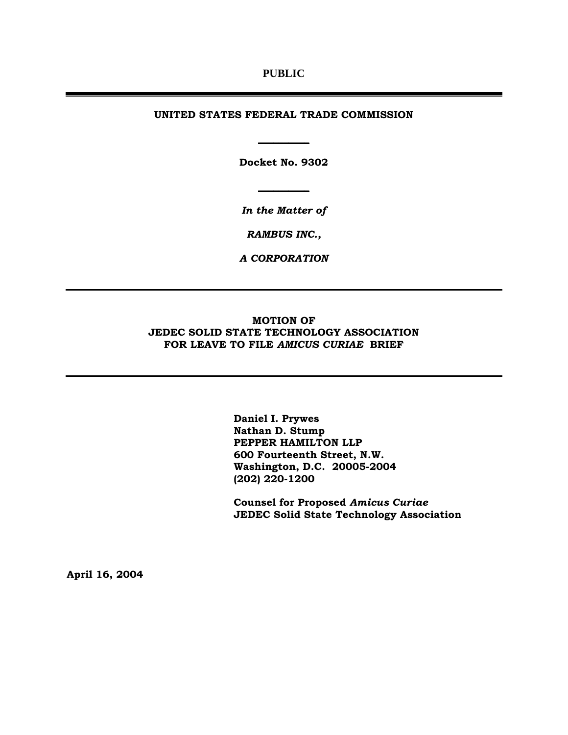### **PUBLIC**

#### **UNITED STATES FEDERAL TRADE COMMISSION**

**Docket No. 9302** 

**\_\_\_\_\_\_\_\_\_\_**

**\_\_\_\_\_\_\_\_\_\_**

*In the Matter of* 

*RAMBUS INC.,* 

*A CORPORATION* 

## **MOTION OF JEDEC SOLID STATE TECHNOLOGY ASSOCIATION FOR LEAVE TO FILE** *AMICUS CURIAE* **BRIEF**

**Daniel I. Prywes Nathan D. Stump PEPPER HAMILTON LLP 600 Fourteenth Street, N.W. Washington, D.C. 20005-2004 (202) 220-1200** 

**Counsel for Proposed** *Amicus Curiae*  **JEDEC Solid State Technology Association** 

**April 16, 2004**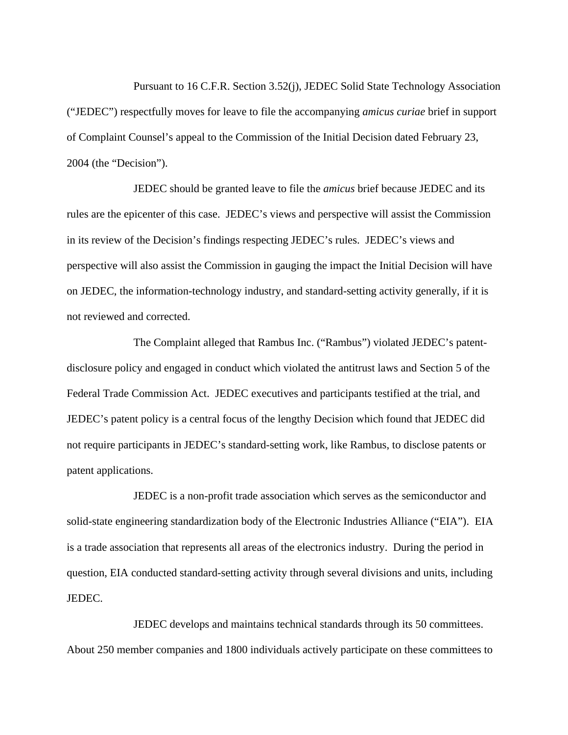Pursuant to 16 C.F.R. Section 3.52(j), JEDEC Solid State Technology Association ("JEDEC") respectfully moves for leave to file the accompanying *amicus curiae* brief in support of Complaint Counsel's appeal to the Commission of the Initial Decision dated February 23, 2004 (the "Decision").

JEDEC should be granted leave to file the *amicus* brief because JEDEC and its rules are the epicenter of this case. JEDEC's views and perspective will assist the Commission in its review of the Decision's findings respecting JEDEC's rules. JEDEC's views and perspective will also assist the Commission in gauging the impact the Initial Decision will have on JEDEC, the information-technology industry, and standard-setting activity generally, if it is not reviewed and corrected.

The Complaint alleged that Rambus Inc. ("Rambus") violated JEDEC's patentdisclosure policy and engaged in conduct which violated the antitrust laws and Section 5 of the Federal Trade Commission Act. JEDEC executives and participants testified at the trial, and JEDEC's patent policy is a central focus of the lengthy Decision which found that JEDEC did not require participants in JEDEC's standard-setting work, like Rambus, to disclose patents or patent applications.

JEDEC is a non-profit trade association which serves as the semiconductor and solid-state engineering standardization body of the Electronic Industries Alliance ("EIA"). EIA is a trade association that represents all areas of the electronics industry. During the period in question, EIA conducted standard-setting activity through several divisions and units, including JEDEC.

JEDEC develops and maintains technical standards through its 50 committees. About 250 member companies and 1800 individuals actively participate on these committees to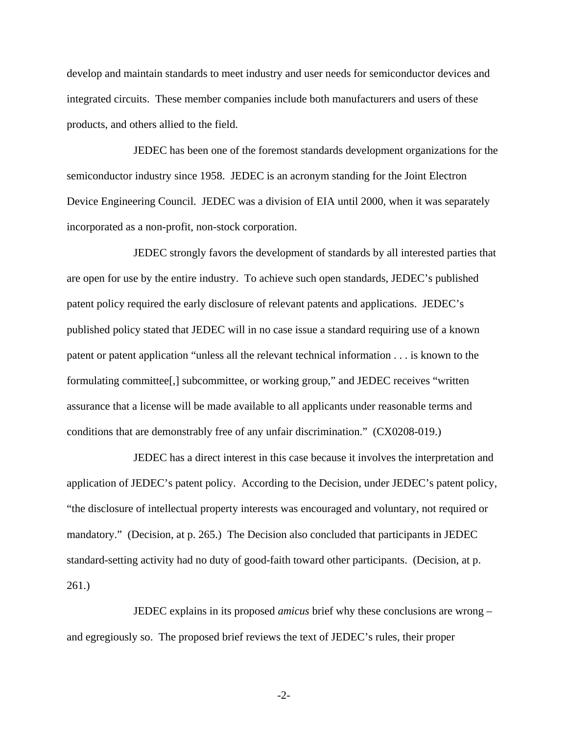develop and maintain standards to meet industry and user needs for semiconductor devices and integrated circuits. These member companies include both manufacturers and users of these products, and others allied to the field.

JEDEC has been one of the foremost standards development organizations for the semiconductor industry since 1958. JEDEC is an acronym standing for the Joint Electron Device Engineering Council. JEDEC was a division of EIA until 2000, when it was separately incorporated as a non-profit, non-stock corporation.

JEDEC strongly favors the development of standards by all interested parties that are open for use by the entire industry. To achieve such open standards, JEDEC's published patent policy required the early disclosure of relevant patents and applications. JEDEC's published policy stated that JEDEC will in no case issue a standard requiring use of a known patent or patent application "unless all the relevant technical information . . . is known to the formulating committee[,] subcommittee, or working group," and JEDEC receives "written assurance that a license will be made available to all applicants under reasonable terms and conditions that are demonstrably free of any unfair discrimination." (CX0208-019.)

JEDEC has a direct interest in this case because it involves the interpretation and application of JEDEC's patent policy. According to the Decision, under JEDEC's patent policy, "the disclosure of intellectual property interests was encouraged and voluntary, not required or mandatory." (Decision, at p. 265.) The Decision also concluded that participants in JEDEC standard-setting activity had no duty of good-faith toward other participants. (Decision, at p. 261.)

JEDEC explains in its proposed *amicus* brief why these conclusions are wrong – and egregiously so. The proposed brief reviews the text of JEDEC's rules, their proper

-2-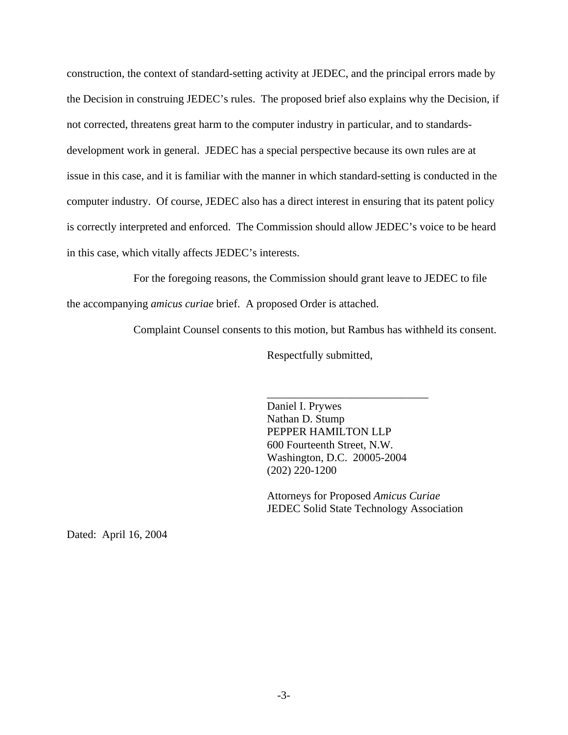construction, the context of standard-setting activity at JEDEC, and the principal errors made by the Decision in construing JEDEC's rules. The proposed brief also explains why the Decision, if not corrected, threatens great harm to the computer industry in particular, and to standardsdevelopment work in general. JEDEC has a special perspective because its own rules are at issue in this case, and it is familiar with the manner in which standard-setting is conducted in the computer industry. Of course, JEDEC also has a direct interest in ensuring that its patent policy is correctly interpreted and enforced. The Commission should allow JEDEC's voice to be heard in this case, which vitally affects JEDEC's interests.

For the foregoing reasons, the Commission should grant leave to JEDEC to file

the accompanying *amicus curiae* brief. A proposed Order is attached.

Complaint Counsel consents to this motion, but Rambus has withheld its consent.

Respectfully submitted,

Daniel I. Prywes Nathan D. Stump PEPPER HAMILTON LLP 600 Fourteenth Street, N.W. Washington, D.C. 20005-2004 (202) 220-1200

\_\_\_\_\_\_\_\_\_\_\_\_\_\_\_\_\_\_\_\_\_\_\_\_\_\_\_\_\_

Attorneys for Proposed *Amicus Curiae*  JEDEC Solid State Technology Association

Dated: April 16, 2004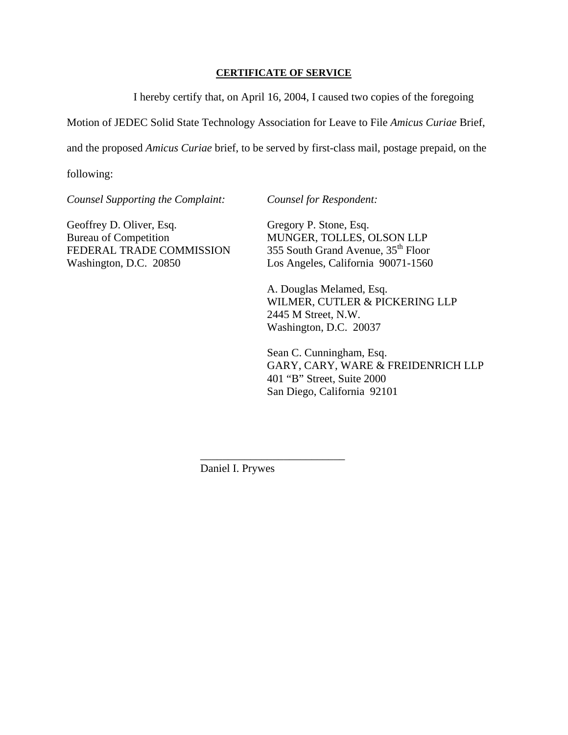# **CERTIFICATE OF SERVICE**

I hereby certify that, on April 16, 2004, I caused two copies of the foregoing

Motion of JEDEC Solid State Technology Association for Leave to File *Amicus Curiae* Brief,

and the proposed *Amicus Curiae* brief, to be served by first-class mail, postage prepaid, on the

following:

*Counsel Supporting the Complaint: Counsel for Respondent:* 

Geoffrey D. Oliver, Esq. Gregory P. Stone, Esq. Bureau of Competition MUNGER, TOLLES, OLSON LLP FEDERAL TRADE COMMISSION 355 South Grand Avenue, 35<sup>th</sup> Floor Washington, D.C. 20850 Los Angeles, California 90071-1560

 A. Douglas Melamed, Esq. WILMER, CUTLER & PICKERING LLP 2445 M Street, N.W. Washington, D.C. 20037

 Sean C. Cunningham, Esq. GARY, CARY, WARE & FREIDENRICH LLP 401 "B" Street, Suite 2000 San Diego, California 92101

Daniel I. Prywes

\_\_\_\_\_\_\_\_\_\_\_\_\_\_\_\_\_\_\_\_\_\_\_\_\_\_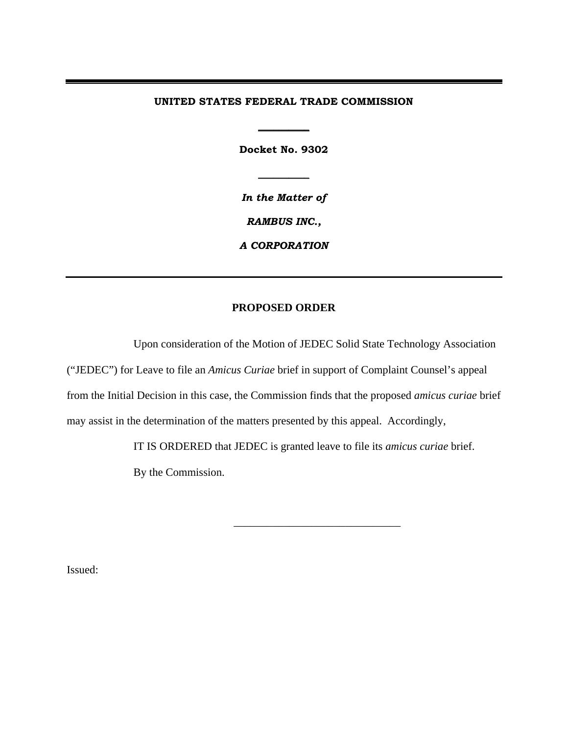### **UNITED STATES FEDERAL TRADE COMMISSION**

**Docket No. 9302** 

**\_\_\_\_\_\_\_\_\_\_**

**\_\_\_\_\_\_\_\_\_\_**

*In the Matter of* 

*RAMBUS INC.,* 

*A CORPORATION* 

# **PROPOSED ORDER**

Upon consideration of the Motion of JEDEC Solid State Technology Association ("JEDEC") for Leave to file an *Amicus Curiae* brief in support of Complaint Counsel's appeal from the Initial Decision in this case, the Commission finds that the proposed *amicus curiae* brief may assist in the determination of the matters presented by this appeal. Accordingly,

IT IS ORDERED that JEDEC is granted leave to file its *amicus curiae* brief.

By the Commission.

 $\frac{1}{\sqrt{2}}$  ,  $\frac{1}{\sqrt{2}}$  ,  $\frac{1}{\sqrt{2}}$  ,  $\frac{1}{\sqrt{2}}$  ,  $\frac{1}{\sqrt{2}}$  ,  $\frac{1}{\sqrt{2}}$  ,  $\frac{1}{\sqrt{2}}$  ,  $\frac{1}{\sqrt{2}}$  ,  $\frac{1}{\sqrt{2}}$  ,  $\frac{1}{\sqrt{2}}$  ,  $\frac{1}{\sqrt{2}}$  ,  $\frac{1}{\sqrt{2}}$  ,  $\frac{1}{\sqrt{2}}$  ,  $\frac{1}{\sqrt{2}}$  ,  $\frac{1}{\sqrt{2}}$ 

Issued: